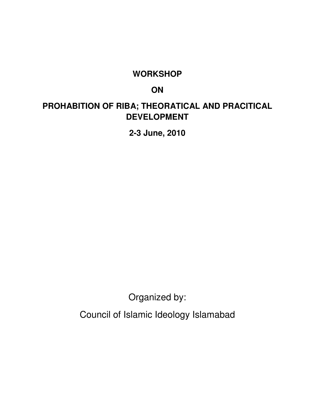## **WORKSHOP**

# **ON**

# **PROHABITION OF RIBA; THEORATICAL AND PRACITICAL DEVELOPMENT**

**2-3 June, 2010** 

Organized by:

Council of Islamic Ideology Islamabad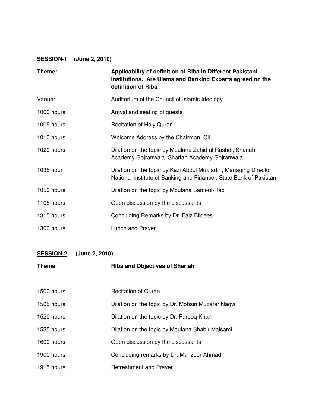#### **SESSION-1 (June 2, 2010)**

| Theme:     | Applicability of definition of Riba in Different Pakistani<br>Institutions. Are Ulama and Banking Experts agreed on the<br>definition of Riba |
|------------|-----------------------------------------------------------------------------------------------------------------------------------------------|
| Vanue:     | Auditorium of the Council of Islamic Ideology                                                                                                 |
| 1000 hours | Arrival and seating of guests                                                                                                                 |
| 1005 hours | <b>Recitation of Holy Quran</b>                                                                                                               |
| 1010 hours | Welcome Address by the Chairman, CII                                                                                                          |
| 1020 hours | Dilation on the topic by Moulana Zahid ul Rashdi, Shariah<br>Academy Gojranwala. Shariah Academy Gojranwala.                                  |
| 1035 hour  | Dilation on the topic by Kazi Abdul Muktadir, Managing Director,<br>National Institute of Banking and Finance, State Bank of Pakistan         |
| 1050 hours | Dilation on the topic by Moulana Sami-ul-Haq                                                                                                  |
| 1105 hours | Open discussion by the discussants                                                                                                            |
| 1315 hours | Concluding Remarks by Dr. Faiz Bilgees                                                                                                        |
| 1300 hours | Lunch and Prayer                                                                                                                              |

# **SESSION-2 (June 2, 2010)**

| <b>Theme</b> | <b>Riba and Objectives of Shariah</b>             |
|--------------|---------------------------------------------------|
|              |                                                   |
| 1500 hours   | <b>Recitation of Quran</b>                        |
| 1505 hours   | Dilation on the topic by Dr. Mohsin Muzafar Nagvi |
| 1520 hours   | Dilation on the topic by Dr. Faroog Khan          |
| 1535 hours   | Dilation on the topic by Moulana Shabir Maisami   |
| 1600 hours   | Open discussion by the discussants                |
| 1900 hours   | Concluding remarks by Dr. Manzoor Ahmad           |
| 1915 hours   | Refreshment and Prayer                            |